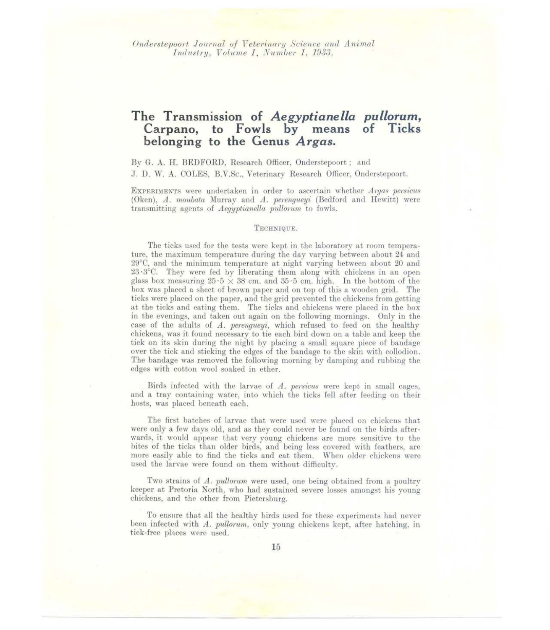*Onderstepoort Journal of Veterinary Science and Animal lndustry, Volume 1, Number 1, 1933.* 

# **The Transmission of** *Aegyptianella pullorum,*  Carpano, to Fowls by means of Ticks **belonging to the Genus** *Argas.*

By G. A. H. BEDFORD, Research Officer, Onderstepoort; and J. D. W. A. COLES, B.V.Sc., Veterinary Research Officer, Onderstepoort.

ExPERIMENTS were undertaken in order to ascertain whether *Argas persicus*  (Oken), *A. moubata* Murray and *A. perengueyi* (Bedford and Hewitt) were transmitting agents of *Aegyptianella pullorum* to fowls.

#### TECHNIQUE.

The ticks used for the tests were kept in the laboratory at room temperature, the maximum temperature during the day varying between about 24 and 29°C, and the minimum temperature at night varying between about 20 and  $23.3^{\circ}$ C. They were fed by liberating them along with chickens in an open glass box measuring  $25.5 \times 38$  cm. and  $35.5$  cm. high. In the bottom of the box was placed a sheet of brown paper and on top of this a wooden grid. The ticks were placed on the paper, and the grid prevented the chickens from getting at the ticks and eating them. The ticks and chickens were placed in the box in the evenings, and taken out again on the following mornings. Only in the case of the adults of *A. perengueyi,* which refused to feed on the healthy chickens, was it found necessary to tie each bird down on a table and keep the tick on its skin during the night by placing a small square piece of bandage over the tick and sticking the edges of the bandage to the skin with collodion. The bandage was removed the following morning by damping and rubbing the edges with cotton wool soaked in ether.

Birds infected with the larvae of *A. persicus* were kept in small cages, and a tray containing water, into which the ticks fell after feeding on their hosts, was placed beneath each.

The first batches of larvae that were used were placed on chickens that were only a few days old, and as they could never be found on the birds afterwards, it would appear that very young chickens are more sensitive to the bites of the ticks than older birds, and being less covered with feathers, are more easily able to find the ticks and eat them. When older chickens were used the larvae were found on them without difficulty.

Two strains of *A. pullorum* were used, one being obtained from a poultry keeper at Pretoria North, who had sustained severe losses amongst his young chickens, and the other from Pietersburg.

To ensure that all the healthy birds used for these experiments had never been infected with *A. pullorum*, only young chickens kept, after hatching, in tick-free places were used.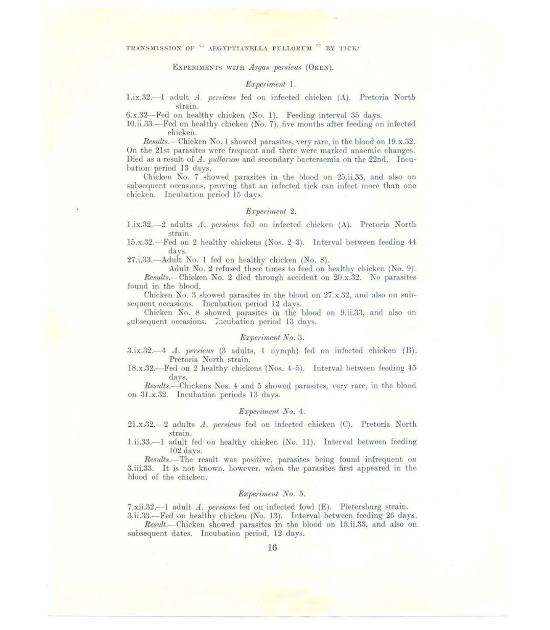ExPERIMENTS WITH *Argas persicus* (OKEN).

## *Experiment* 1.

l.ix.32.- l adult *A, p.cnicus* fed on infected chicken (A). Pretoria North strain.

6.x.32-Fed on healthy chicken (No. 1). Feeding interval 35 days.

10.ii.33.- Fed on healthy chicken (No. 7), five months after feeding on infected chicken.

*Results.- Chicken* No.1 showed parasites, very rare, in the blood on 19.x.32. On the 21st parasites were frequent and there were marked anaemic changes. Died as a result of *A. pullorum* and secondary bacteraemia on the 22nd. Incubation period 13 days.

Chicken No. 7 showed parasites in the blood on 25.ii.33, and also on subsequent occasions, proving that an infected tick can infect more than one chicken. Incubation period 15 days.

## *Experiment* 2.

l.ix.32 .- 2 adults *A. petsicus* fed on infected chicken (A). Pretoria North strain.

15.x.32.- Fed on 2 healthy chickens (Nos. 2-3). Interval between feeding 44 days.

27.i.33.- Adult No. 1 fed on healthy chicken (No. 8).

Adult No. 2 refused three times to feed on healthy chicken (No. 9). *Results.- Chicken* No. 2 died through accident on 20.x.32. No parasites found in the blood.

Chicken No. 3 showed parasites in the blood on 27.x.32, and also on subsequent occasions. Incubation period 12 days.

Chicken No. 8 showed parasites in the blood on 9.ii.33, and also on subsequent occasions. Incubation period 13 days.

# *Expen:ment No.3.*

3.ix.32.<sup>-4</sup> *A. persicus* (3 adults, 1 nymph) fed on infected chicken (B). Pretoria North strain.

l8.x.32.- Fed on 2 healthy chickens (Nos. 4-5). Interval between feeding 45 days.

*Results.-Chickens* Nos. 4 and 5 showed parasites, very rare, in the blood on 3l.x.32. Incubation periods 13 days.

#### *Experiment No.* 4.

2l.x.32.- 2 adults *A. persicus* fed on infected chicken (C). Pretoria North strain.

l.ii.33.-l adult fed on healthy chicken (No. 11). Interval between feeding 102 days.

*Results.-The* result was positive, parasites being found infrequent on 3.iii.33. It is not known, however, when the parasites first appeared in the blood of the chicken.

# *Experiment No.* 5.

7.xii.32.--1 adult *A. persicus* fed on infected fowl (E). Pietersburg strain. 3.ii.33.-Fed on healthy chicken (No. 13). Interval between feeding 26 days.

*Result.- Chicken* showed parasites in the blood on 15.ii.33, and also on subsequent dates. Incubation period, 12 days.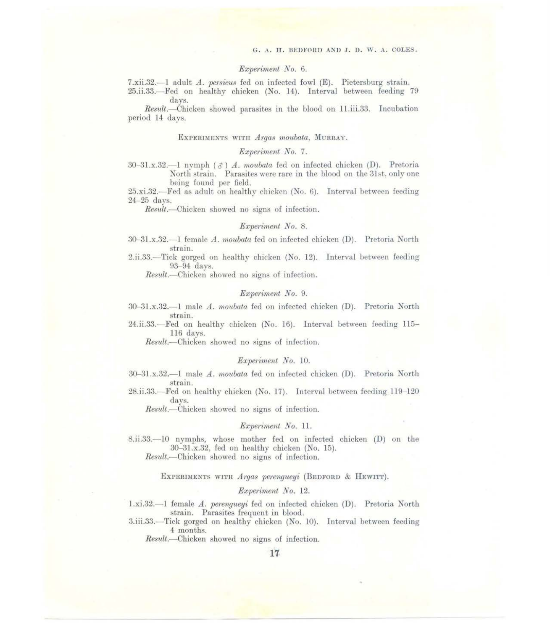#### *Experiment No.* 6.

7.xii.32.- 1 adult *A. persicus* fed on infected fowl (E). Pietersburg strain.

25.ii.33.- Fed on healthy chicken (No. 14). Interval between feeding 79 days.

*Result.- Chicken* showed parasites in the blood on 11.iii.33. Incubation period **14** days.

## ExPERIMENTS WITH *ATgas moubata,* MuRRAY.

# *Experiment No. 7.*

 $30-31$ , x.32.—1 nymph  $\left( \mathcal{A} \right)$  *A. moubata* fed on infected chicken  $(D)$ . Pretoria North strain. Parasites were rare in the blood on the 31st, only one being found per field.

 $25.xi.32$ . Fed as adult on healthy chicken (No. 6). Interval between feeding 24-25 days.

*Result.-Chicken* showed no signs of infection.

## *Experiment No.* 8.

- 30- 3l.x.32.- 1 female *A. moubata* fed on infected chicken **(D).** Pretoria North strain.
- 2.ii.33.- Tick gorged on healthy chicken (No. 12). Interval between feeding 93-94 days.

Result.—Chicken showed no signs of infection.

#### *Experiment No. 9.*

- 30-3l.x.32.- 1 male *A. moubata* fed on infected chicken **(D).** Pretoria North strain.
- 24.ii.33.- Fed on healthy chicken (No . 16). Interval between feeding 115- 116 days.

*Result.*—Chicken showed no signs of infection.

# *Expen:ment No.* 10.

- 30- 3l.x.32.-l male *A. rnoubata* fed on infected chicken **(D).** Pretoria North strain.
- 28.ii.33.-Fed on healthy chicken (No. 17). Interval between feeding 119-120 days.

Result.--Chicken showed no signs of infection.

#### *Experiment No. 11.*

8.ii.33.-10 nymphs, whose mother fed on infected chicken (D) on the 30-3l.x.32, fed on healthy chicken (No. 15).

*Result.-Chicken* showed no signs of infection.

# EXPERIMENTS WITH *Argas perenqueyi* (BEDFORD & HEWITT).

#### *Experiment No.* 12.

- 1.xi.32.—1 female *A. perenqueyi* fed on infected chicken (D). Pretoria North strain. Parasites frequent in blood.
- 3.iii.33.- Tick gorged on healthy chicken (No. 10). Interval between feeding 4 months.

Result.--Chicken showed no signs of infection.